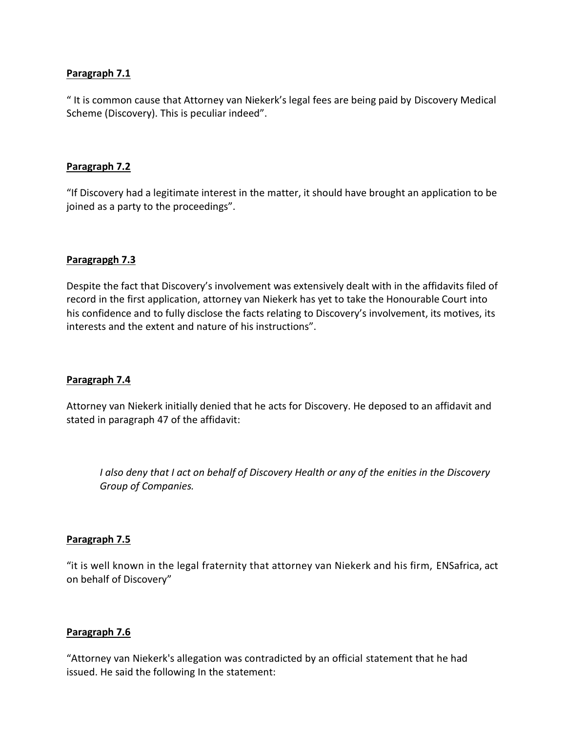" It is common cause that Attorney van Niekerk's legal fees are being paid by Discovery Medical Scheme (Discovery). This is peculiar indeed".

#### **Paragraph 7.2**

"If Discovery had a legitimate interest in the matter, it should have brought an application to be joined as a party to the proceedings".

#### **Paragrapgh 7.3**

Despite the fact that Discovery's involvement was extensively dealt with in the affidavits filed of record in the first application, attorney van Niekerk has yet to take the Honourable Court into his confidence and to fully disclose the facts relating to Discovery's involvement, its motives, its interests and the extent and nature of his instructions".

#### **Paragraph 7.4**

Attorney van Niekerk initially denied that he acts for Discovery. He deposed to an affidavit and stated in paragraph 47 of the affidavit:

*I also deny that I act on behalf of Discovery Health or any of the enities in the Discovery Group of Companies.*

#### **Paragraph 7.5**

"it is well known in the legal fraternity that attorney van Niekerk and his firm, ENSafrica, act on behalf of Discovery"

#### **Paragraph 7.6**

"Attorney van Niekerk's allegation was contradicted by an official statement that he had issued. He said the following In the statement: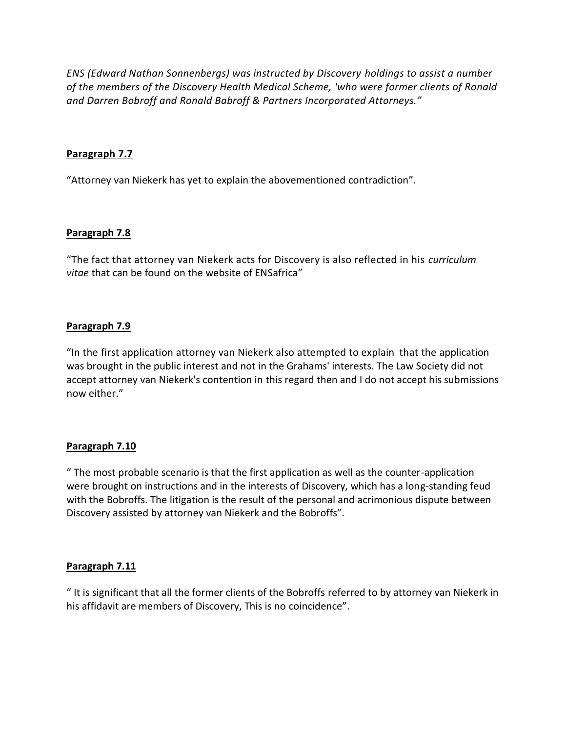*ENS (Edward Nathan Sonnenbergs) was instructed by Discovery holdings to assist a number of the members of the Discovery Health Medical Scheme, 'who were former clients of Ronald and Darren Bobroff and Ronald Babroff & Partners Incorporated Attorneys."*

### **Paragraph 7.7**

"Attorney van Niekerk has yet to explain the abovementioned contradiction".

#### **Paragraph 7.8**

"The fact that attorney van Niekerk acts for Discovery is also reflected in his *curriculum vitae* that can be found on the website of ENSafrica"

## **Paragraph 7.9**

"In the first application attorney van Niekerk also attempted to explain that the application was brought in the public interest and not in the Grahams' interests. The Law Society did not accept attorney van Niekerk's contention in this regard then and I do not accept his submissions now either."

# **Paragraph 7.10**

" The most probable scenario is that the first application as well as the counter-application were brought on instructions and in the interests of Discovery, which has a long-standing feud with the Bobroffs. The litigation is the result of the personal and acrimonious dispute between Discovery assisted by attorney van Niekerk and the Bobroffs".

# **Paragraph 7.11**

" It is significant that all the former clients of the Bobroffs referred to by attorney van Niekerk in his affidavit are members of Discovery, This is no coincidence".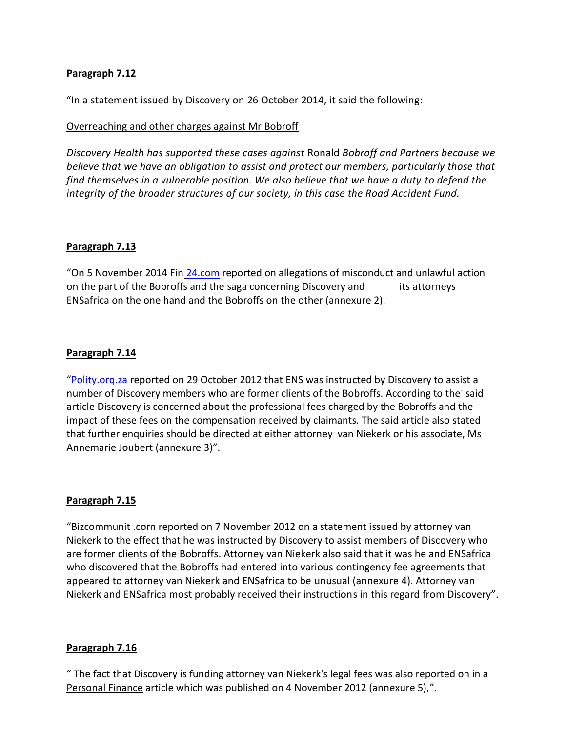"In a statement issued by Discovery on 26 October 2014, it said the following:

### Overreaching and other charges against Mr Bobroff

*Discovery Health has supported these cases against* Ronald *Bobroff and Partners because we believe that we have an obligation to assist and protect our members, particularly those that find themselves in a vulnerable position. We also believe that we have a duty to defend the integrity of the broader structures of our society, in this case the Road Accident Fund.*

#### **Paragraph 7.13**

"On 5 November 2014 Fin [24.com](http://24.com/) reported on allegations of misconduct and unlawful action on the part of the Bobroffs and the saga concerning Discovery and its attorneys ENSafrica on the one hand and the Bobroffs on the other (annexure 2).

## **Paragraph 7.14**

"[Polity.orq.za](http://polity.orq.za/) reported on 29 October 2012 that ENS was instructed by Discovery to assist a number of Discovery members who are former clients of the Bobroffs. According to the said article Discovery is concerned about the professional fees charged by the Bobroffs and the impact of these fees on the compensation received by claimants. The said article also stated that further enquiries should be directed at either attorney. van Niekerk or his associate, Ms Annemarie Joubert (annexure 3)".

#### **Paragraph 7.15**

"Bizcommunit .corn reported on 7 November 2012 on a statement issued by attorney van Niekerk to the effect that he was instructed by Discovery to assist members of Discovery who are former clients of the Bobroffs. Attorney van Niekerk also said that it was he and ENSafrica who discovered that the Bobroffs had entered into various contingency fee agreements that appeared to attorney van Niekerk and ENSafrica to be unusual (annexure 4). Attorney van Niekerk and ENSafrica most probably received their instructions in this regard from Discovery".

#### **Paragraph 7.16**

" The fact that Discovery is funding attorney van Niekerk's legal fees was also reported on in a Personal Finance article which was published on 4 November 2012 (annexure 5),".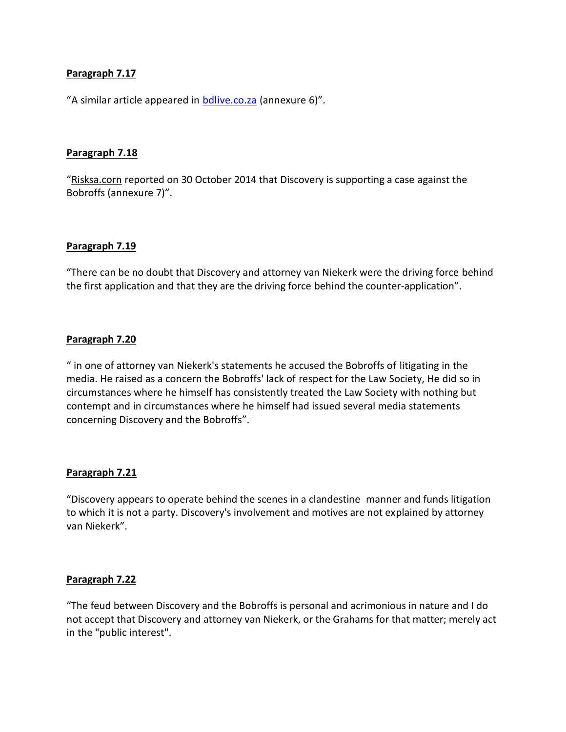"A similar article appeared in [bdlive.co.za](http://bdlive.co.za/) (annexure 6)".

#### **Paragraph 7.18**

"Risksa.corn reported on 30 October 2014 that Discovery is supporting a case against the Bobroffs (annexure 7)".

#### **Paragraph 7.19**

"There can be no doubt that Discovery and attorney van Niekerk were the driving force behind the first application and that they are the driving force behind the counter-application".

#### **Paragraph 7.20**

" in one of attorney van Niekerk's statements he accused the Bobroffs of litigating in the media. He raised as a concern the Bobroffs' lack of respect for the Law Society, He did so in circumstances where he himself has consistently treated the Law Society with nothing but contempt and in circumstances where he himself had issued several media statements concerning Discovery and the Bobroffs".

#### **Paragraph 7.21**

"Discovery appears to operate behind the scenes in a clandestine manner and funds litigation to which it is not a party. Discovery's involvement and motives are not explained by attorney van Niekerk".

#### **Paragraph 7.22**

"The feud between Discovery and the Bobroffs is personal and acrimonious in nature and I do not accept that Discovery and attorney van Niekerk, or the Grahams for that matter; merely act in the "public interest".